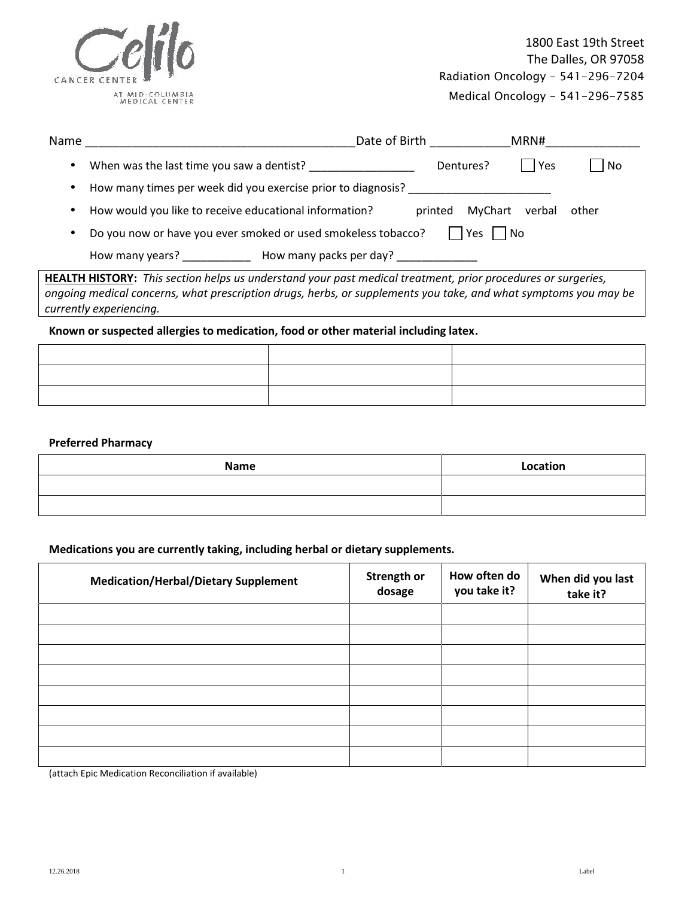

Medical Oncology - 541-296-7585

| Name | Date of Birth<br>MRN#                                                                  |       |
|------|----------------------------------------------------------------------------------------|-------|
|      | When was the last time you saw a dentist?<br>Yes<br>Dentures?                          | No    |
|      | How many times per week did you exercise prior to diagnosis?                           |       |
|      | How would you like to receive educational information?<br>MyChart<br>printed<br>verbal | other |
|      | Do you now or have you ever smoked or used smokeless tobacco?<br>Yes<br>l No           |       |
|      | How many packs per day?<br>How many years?                                             |       |

**HEALTH HISTORY:** *This section helps us understand your past medical treatment, prior procedures or surgeries, ongoing medical concerns, what prescription drugs, herbs, or supplements you take, and what symptoms you may be currently experiencing.*

#### **Known or suspected allergies to medication, food or other material including latex.**

### **Preferred Pharmacy**

| Name | Location |
|------|----------|
|      |          |
|      |          |

### **Medications you are currently taking, including herbal or dietary supplements.**

| Strength or<br>dosage | How often do<br>you take it? | When did you last<br>take it? |
|-----------------------|------------------------------|-------------------------------|
|                       |                              |                               |
|                       |                              |                               |
|                       |                              |                               |
|                       |                              |                               |
|                       |                              |                               |
|                       |                              |                               |
|                       |                              |                               |
|                       |                              |                               |

(attach Epic Medication Reconciliation if available)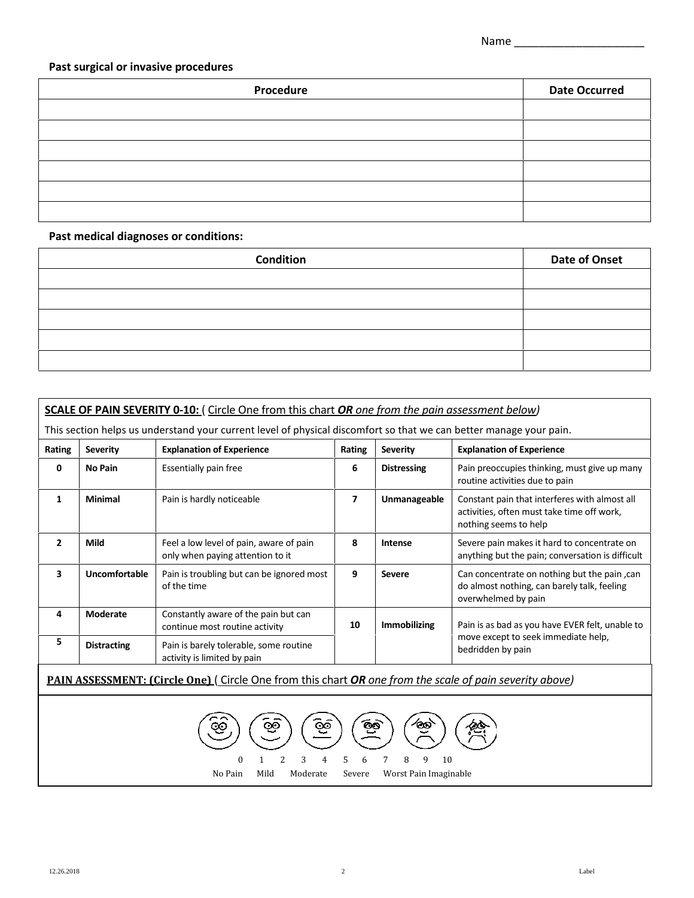### **Past surgical or invasive procedures**

| Procedure | <b>Date Occurred</b> |
|-----------|----------------------|
|           |                      |
|           |                      |
|           |                      |
|           |                      |
|           |                      |
|           |                      |

## **Past medical diagnoses or conditions:**

| Condition | <b>Date of Onset</b> |
|-----------|----------------------|
|           |                      |
|           |                      |
|           |                      |
|           |                      |
|           |                      |

| <b>Explanation of Experience</b><br>Rating<br><b>Severity</b><br>Rating<br><b>Severity</b> |                    |                                                                                                                |                           | <b>Explanation of Experience</b> |                                                                                                                      |  |
|--------------------------------------------------------------------------------------------|--------------------|----------------------------------------------------------------------------------------------------------------|---------------------------|----------------------------------|----------------------------------------------------------------------------------------------------------------------|--|
| 0                                                                                          | <b>No Pain</b>     | Essentially pain free                                                                                          | 6                         | <b>Distressing</b>               | Pain preoccupies thinking, must give up many<br>routine activities due to pain                                       |  |
| 1                                                                                          | <b>Minimal</b>     | Pain is hardly noticeable                                                                                      | 7                         | Unmanageable                     | Constant pain that interferes with almost all<br>activities, often must take time off work,<br>nothing seems to help |  |
| $\overline{2}$                                                                             | Mild               | Feel a low level of pain, aware of pain<br>only when paying attention to it                                    | 8                         | Intense                          | Severe pain makes it hard to concentrate on<br>anything but the pain; conversation is difficult                      |  |
| $\overline{\mathbf{3}}$                                                                    | Uncomfortable      | Pain is troubling but can be ignored most<br>of the time                                                       | 9                         | <b>Severe</b>                    | Can concentrate on nothing but the pain, can<br>do almost nothing, can barely talk, feeling<br>overwhelmed by pain   |  |
| 4                                                                                          | Moderate           | Constantly aware of the pain but can<br>continue most routine activity                                         | <b>Immobilizing</b><br>10 |                                  | Pain is as bad as you have EVER felt, unable to                                                                      |  |
| 5                                                                                          | <b>Distracting</b> | Pain is barely tolerable, some routine<br>activity is limited by pain                                          |                           |                                  | move except to seek immediate help,<br>bedridden by pain                                                             |  |
|                                                                                            |                    | <b>PAIN ASSESSMENT: (Circle One)</b> (Circle One from this chart OR one from the scale of pain severity above) |                           |                                  |                                                                                                                      |  |

ごソ 0 1 2 3 4 5 6 7 8 9 10<br>No Pain Mild Moderate Severe Worst Pain Imagin Severe Worst Pain Imaginable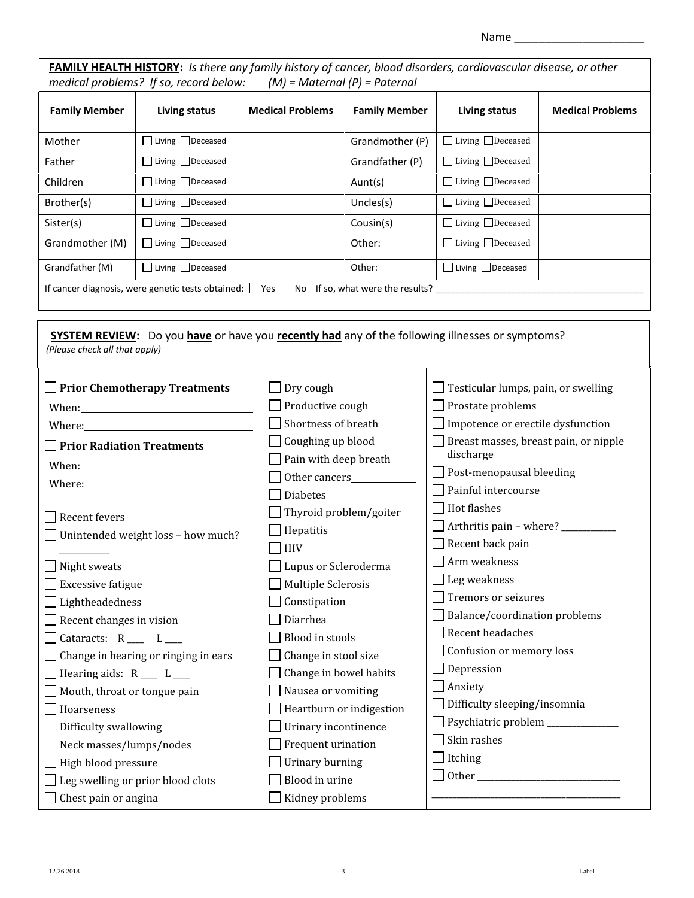| Name |  |
|------|--|
|      |  |

|                                              | FAMILY HEALTH HISTORY: Is there any family history of cancer, blood disorders, cardiovascular disease, or other<br>medical problems? If so, record below:                                                                      |                         | $(M)$ = Maternal (P) = Paternal |                                                    |                         |  |  |
|----------------------------------------------|--------------------------------------------------------------------------------------------------------------------------------------------------------------------------------------------------------------------------------|-------------------------|---------------------------------|----------------------------------------------------|-------------------------|--|--|
| <b>Family Member</b><br><b>Living status</b> |                                                                                                                                                                                                                                | <b>Medical Problems</b> | <b>Family Member</b>            | Living status                                      | <b>Medical Problems</b> |  |  |
| Mother                                       | □ Living □ Deceased                                                                                                                                                                                                            |                         | Grandmother (P)                 | □ Living □ Deceased                                |                         |  |  |
| Father                                       | □ Living □ Deceased                                                                                                                                                                                                            |                         | Grandfather (P)                 | □ Living □ Deceased                                |                         |  |  |
| Children                                     | □ Living □ Deceased                                                                                                                                                                                                            |                         | Aunt(s)                         | □ Living □ Deceased                                |                         |  |  |
| Brother(s)                                   | □ Living □ Deceased                                                                                                                                                                                                            |                         | Uncles(s)                       | □ Living □ Deceased                                |                         |  |  |
| Sister(s)                                    | □ Living □ Deceased                                                                                                                                                                                                            |                         | Cousin(s)                       | □ Living □ Deceased                                |                         |  |  |
| Grandmother (M)                              | □ Living □ Deceased                                                                                                                                                                                                            |                         | Other:                          | □ Living □ Deceased                                |                         |  |  |
| Grandfather (M)                              | □ Living □ Deceased                                                                                                                                                                                                            |                         | Other:                          | □ Living □ Deceased                                |                         |  |  |
|                                              | If cancer diagnosis, were genetic tests obtained: $\Box$ Yes $\Box$ No If so, what were the results?                                                                                                                           |                         |                                 |                                                    |                         |  |  |
|                                              |                                                                                                                                                                                                                                |                         |                                 |                                                    |                         |  |  |
| (Please check all that apply)                | <b>SYSTEM REVIEW:</b> Do you have or have you recently had any of the following illnesses or symptoms?                                                                                                                         |                         |                                 |                                                    |                         |  |  |
|                                              | $\Box$ Prior Chemotherapy Treatments                                                                                                                                                                                           | Dry cough               |                                 | $\Box$ Testicular lumps, pain, or swelling         |                         |  |  |
|                                              |                                                                                                                                                                                                                                | $\Box$ Productive cough |                                 | $\Box$ Prostate problems                           |                         |  |  |
|                                              | Where: where the contract of the contract of the contract of the contract of the contract of the contract of the contract of the contract of the contract of the contract of the contract of the contract of the contract of t | Shortness of breath     |                                 | Impotence or erectile dysfunction                  |                         |  |  |
| <b>Prior Radiation Treatments</b>            |                                                                                                                                                                                                                                | Coughing up blood       |                                 | Breast masses, breast pain, or nipple<br>discharge |                         |  |  |
|                                              |                                                                                                                                                                                                                                | Pain with deep breath   |                                 | $\Box$ Post-menopausal bleeding                    |                         |  |  |
|                                              |                                                                                                                                                                                                                                | <b>Diabetes</b>         |                                 | $\Box$ Painful intercourse                         |                         |  |  |
|                                              |                                                                                                                                                                                                                                |                         | Thyroid problem/goiter          | $\Box$ Hot flashes                                 |                         |  |  |
| Recent fevers                                |                                                                                                                                                                                                                                | Hepatitis               |                                 | Arthritis pain - where? __________                 |                         |  |  |
|                                              | $\Box$ Unintended weight loss - how much?                                                                                                                                                                                      | HIV                     |                                 | $\Box$ Recent back pain                            |                         |  |  |
| Night sweats                                 |                                                                                                                                                                                                                                | Lupus or Scleroderma    |                                 | Arm weakness                                       |                         |  |  |
| <b>Excessive fatigue</b>                     |                                                                                                                                                                                                                                | Multiple Sclerosis      |                                 | $\Box$ Leg weakness                                |                         |  |  |
| Lightheadedness                              |                                                                                                                                                                                                                                | Constipation            |                                 | $\Box$ Tremors or seizures                         |                         |  |  |
| Recent changes in vision                     |                                                                                                                                                                                                                                | Diarrhea                |                                 | Balance/coordination problems                      |                         |  |  |
| Cataracts: $R_{\_\_\_\_}$ $L_{\_\_\_\_}$     |                                                                                                                                                                                                                                | <b>Blood in stools</b>  |                                 | Recent headaches                                   |                         |  |  |
|                                              | Change in hearing or ringing in ears                                                                                                                                                                                           | Change in stool size    |                                 | Confusion or memory loss                           |                         |  |  |
| Hearing aids: $R_{\_\_\_\_} L_{\_\_\_\_}$    |                                                                                                                                                                                                                                | Change in bowel habits  |                                 | Depression                                         |                         |  |  |
| Mouth, throat or tongue pain                 |                                                                                                                                                                                                                                | Nausea or vomiting      |                                 | Anxiety                                            |                         |  |  |
| Hoarseness                                   |                                                                                                                                                                                                                                |                         | Heartburn or indigestion        | Difficulty sleeping/insomnia                       |                         |  |  |
| Difficulty swallowing                        |                                                                                                                                                                                                                                | Urinary incontinence    |                                 | Psychiatric problem _____________                  |                         |  |  |
| Neck masses/lumps/nodes                      |                                                                                                                                                                                                                                | Frequent urination      |                                 | Skin rashes                                        |                         |  |  |
| High blood pressure                          |                                                                                                                                                                                                                                | Urinary burning         |                                 | Itching                                            |                         |  |  |
|                                              | Leg swelling or prior blood clots                                                                                                                                                                                              | Blood in urine          |                                 |                                                    |                         |  |  |
| Chest pain or angina                         |                                                                                                                                                                                                                                | Kidney problems         |                                 |                                                    |                         |  |  |